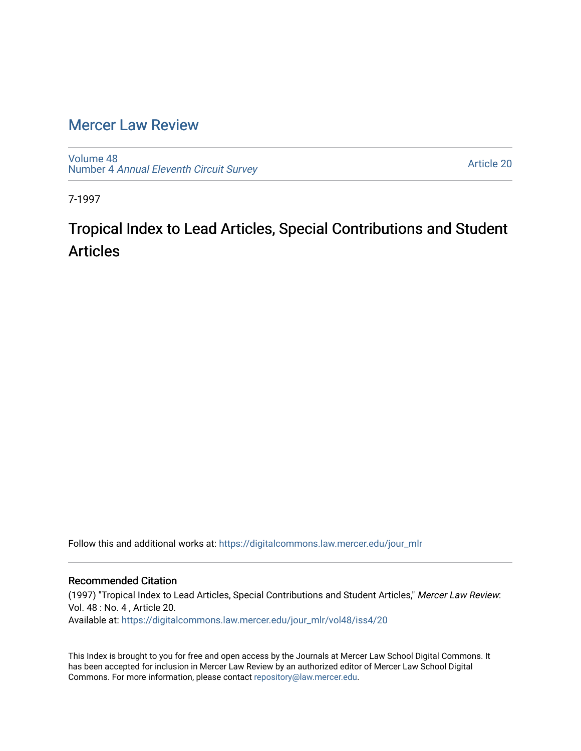## [Mercer Law Review](https://digitalcommons.law.mercer.edu/jour_mlr)

[Volume 48](https://digitalcommons.law.mercer.edu/jour_mlr/vol48) Number 4 [Annual Eleventh Circuit Survey](https://digitalcommons.law.mercer.edu/jour_mlr/vol48/iss4) 

[Article 20](https://digitalcommons.law.mercer.edu/jour_mlr/vol48/iss4/20) 

7-1997

## Tropical Index to Lead Articles, Special Contributions and Student Articles

Follow this and additional works at: [https://digitalcommons.law.mercer.edu/jour\\_mlr](https://digitalcommons.law.mercer.edu/jour_mlr?utm_source=digitalcommons.law.mercer.edu%2Fjour_mlr%2Fvol48%2Fiss4%2F20&utm_medium=PDF&utm_campaign=PDFCoverPages)

## Recommended Citation

(1997) "Tropical Index to Lead Articles, Special Contributions and Student Articles," Mercer Law Review: Vol. 48 : No. 4 , Article 20. Available at: [https://digitalcommons.law.mercer.edu/jour\\_mlr/vol48/iss4/20](https://digitalcommons.law.mercer.edu/jour_mlr/vol48/iss4/20?utm_source=digitalcommons.law.mercer.edu%2Fjour_mlr%2Fvol48%2Fiss4%2F20&utm_medium=PDF&utm_campaign=PDFCoverPages) 

This Index is brought to you for free and open access by the Journals at Mercer Law School Digital Commons. It has been accepted for inclusion in Mercer Law Review by an authorized editor of Mercer Law School Digital Commons. For more information, please contact [repository@law.mercer.edu.](mailto:repository@law.mercer.edu)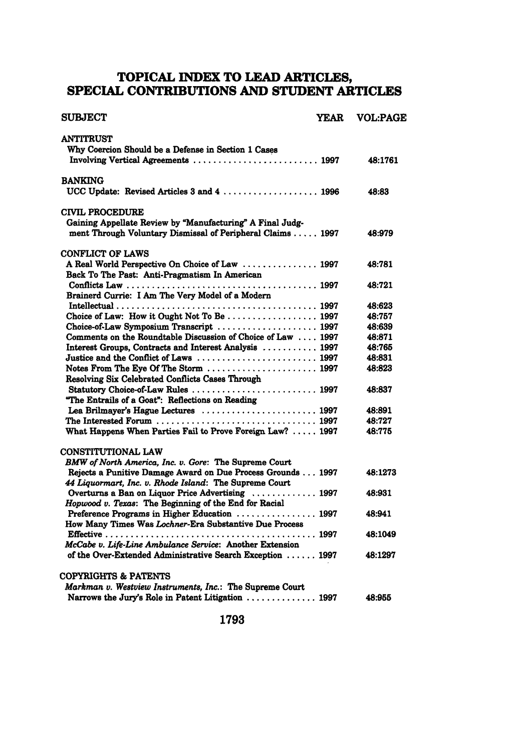## **TOPICAL INDEX TO LEAD ARTICLES, SPECIAL CONTRIBUTIONS AND STUDENT ARTICLES**

| <b>SUBJECT</b>                                                                                                         | YEAR | <b>VOL:PAGE</b>  |
|------------------------------------------------------------------------------------------------------------------------|------|------------------|
| <b>ANTITRUST</b>                                                                                                       |      |                  |
| Why Coercion Should be a Defense in Section 1 Cases                                                                    |      |                  |
| Involving Vertical Agreements  1997                                                                                    |      | 48:1761          |
| <b>BANKING</b>                                                                                                         |      |                  |
| UCC Update: Revised Articles 3 and 4  1996                                                                             |      | 48:83            |
| <b>CIVIL PROCEDURE</b>                                                                                                 |      |                  |
| Gaining Appellate Review by "Manufacturing" A Final Judg-                                                              |      |                  |
| ment Through Voluntary Dismissal of Peripheral Claims 1997                                                             |      | 48:979           |
| <b>CONFLICT OF LAWS</b>                                                                                                |      |                  |
| A Real World Perspective On Choice of Law  1997                                                                        |      | 48:781           |
| Back To The Past: Anti-Pragmatism In American                                                                          |      |                  |
|                                                                                                                        |      | 48:721           |
| Brainerd Currie: I Am The Very Model of a Modern                                                                       |      |                  |
|                                                                                                                        |      | 48:623           |
| Choice-of-Law Symposium Transcript  1997                                                                               |      | 48:757<br>48:639 |
| Comments on the Roundtable Discussion of Choice of Law  1997                                                           |      | 48:871           |
| Interest Groups, Contracts and Interest Analysis  1997                                                                 |      | 48:765           |
|                                                                                                                        |      | 48:831           |
|                                                                                                                        |      | 48:823           |
| Resolving Six Celebrated Conflicts Cases Through                                                                       |      |                  |
|                                                                                                                        |      | 48:837           |
| "The Entrails of a Goat": Reflections on Reading                                                                       |      |                  |
| Lea Brilmayer's Hague Lectures  1997                                                                                   |      | 48:891           |
|                                                                                                                        |      | 48:727           |
| What Happens When Parties Fail to Prove Foreign Law?  1997                                                             |      | 48:775           |
| CONSTITUTIONAL LAW                                                                                                     |      |                  |
| BMW of North America, Inc. v. Gore: The Supreme Court                                                                  |      |                  |
| Rejects a Punitive Damage Award on Due Process Grounds 1997                                                            |      | 48:1273          |
| 44 Liquormart, Inc. v. Rhode Island: The Supreme Court                                                                 |      |                  |
| Overturns a Ban on Liquor Price Advertising  1997                                                                      |      | 48:931           |
| Hopwood v. Texas: The Beginning of the End for Racial                                                                  |      |                  |
| Preference Programs in Higher Education  1997                                                                          |      | 48:941           |
| How Many Times Was Lochner-Era Substantive Due Process                                                                 |      |                  |
|                                                                                                                        |      | 48:1049          |
| McCabe v. Life-Line Ambulance Service: Another Extension<br>of the Over-Extended Administrative Search Exception  1997 |      | 48:1297          |
|                                                                                                                        |      |                  |
| COPYRIGHTS & PATENTS                                                                                                   |      |                  |
| Markman v. Westview Instruments, Inc.: The Supreme Court                                                               |      |                  |
| Narrows the Jury's Role in Patent Litigation  1997                                                                     |      | 48:955           |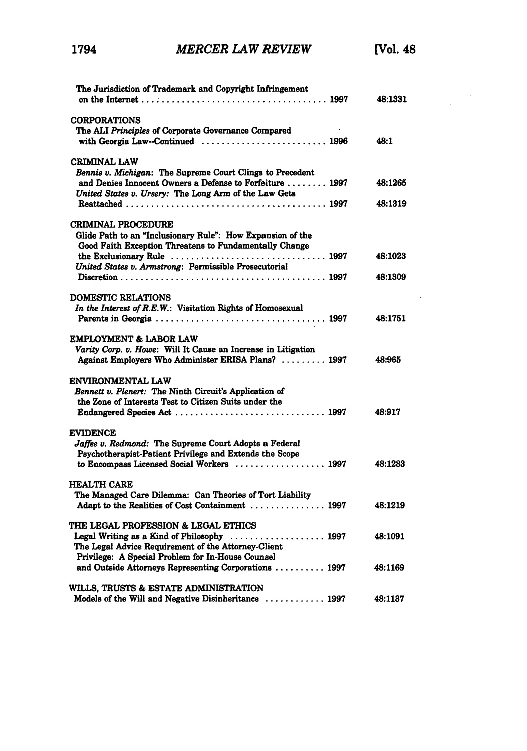$\overline{\phantom{a}}$ 

 $\hat{\mathcal{A}}$ 

| The Jurisdiction of Trademark and Copyright Infringement                                                                                                                          | 48:1331            |
|-----------------------------------------------------------------------------------------------------------------------------------------------------------------------------------|--------------------|
| <b>CORPORATIONS</b><br>The ALI Principles of Corporate Governance Compared<br>with Georgia Law--Continued  1996                                                                   | 48:1               |
| <b>CRIMINAL LAW</b><br>Bennis v. Michigan: The Supreme Court Clings to Precedent<br>and Denies Innocent Owners a Defense to Forfeiture  1997                                      | 48:1265            |
| United States v. Ursery: The Long Arm of the Law Gets                                                                                                                             | 48:1319            |
| CRIMINAL PROCEDURE<br>Glide Path to an "Inclusionary Rule": How Expansion of the<br>Good Faith Exception Threatens to Fundamentally Change                                        |                    |
| United States v. Armstrong: Permissible Prosecutorial                                                                                                                             | 48:1023<br>48:1309 |
| <b>DOMESTIC RELATIONS</b>                                                                                                                                                         |                    |
| In the Interest of R.E.W.: Visitation Rights of Homosexual                                                                                                                        | 48:1751            |
| EMPLOYMENT & LABOR LAW<br>Varity Corp. v. Howe: Will It Cause an Increase in Litigation<br>Against Employers Who Administer ERISA Plans?  1997                                    | 48:965             |
| ENVIRONMENTAL LAW<br>Bennett v. Plenert: The Ninth Circuit's Application of<br>the Zone of Interests Test to Citizen Suits under the                                              | 48:917             |
| <b>EVIDENCE</b><br>Jaffee v. Redmond: The Supreme Court Adopts a Federal<br>Psychotherapist-Patient Privilege and Extends the Scope<br>to Encompass Licensed Social Workers  1997 | 48:1283            |
| <b>HEALTH CARE</b><br>The Managed Care Dilemma: Can Theories of Tort Liability<br>Adapt to the Realities of Cost Containment  1997                                                | 48:1219            |
| <b>THE LEGAL PROFESSION &amp; LEGAL ETHICS</b><br>Legal Writing as a Kind of Philosophy  1997<br>The Legal Advice Requirement of the Attorney-Client                              | 48:1091            |
| Privilege: A Special Problem for In-House Counsel<br>and Outside Attorneys Representing Corporations  1997                                                                        | 48:1169            |
| WILLS, TRUSTS & ESTATE ADMINISTRATION<br>Models of the Will and Negative Disinheritance  1997                                                                                     | 48:1137            |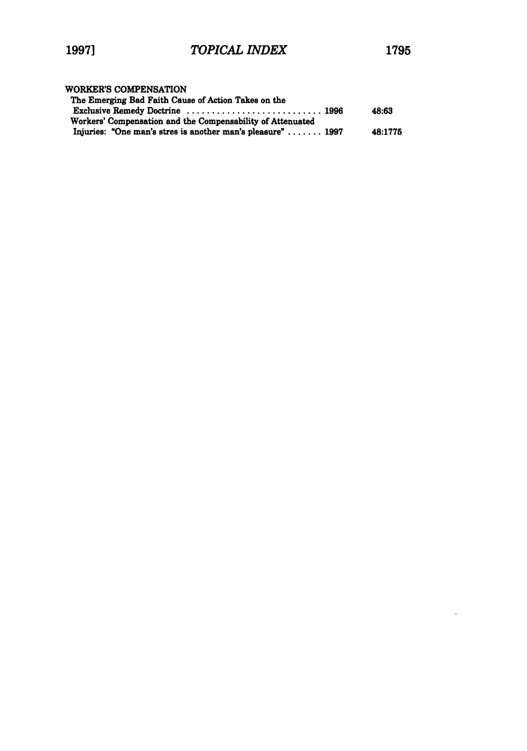$\sim 10^{-11}$ 

| WORKER'S COMPENSATION                                                      |         |
|----------------------------------------------------------------------------|---------|
| The Emerging Bad Faith Cause of Action Takes on the                        |         |
| Exclusive Remedy Doctrine  1996                                            | 48:63   |
| Workers' Compensation and the Compensability of Attenuated                 |         |
| Injuries: "One man's stres is another man's pleasure" $\ldots \ldots$ 1997 | 48:1775 |